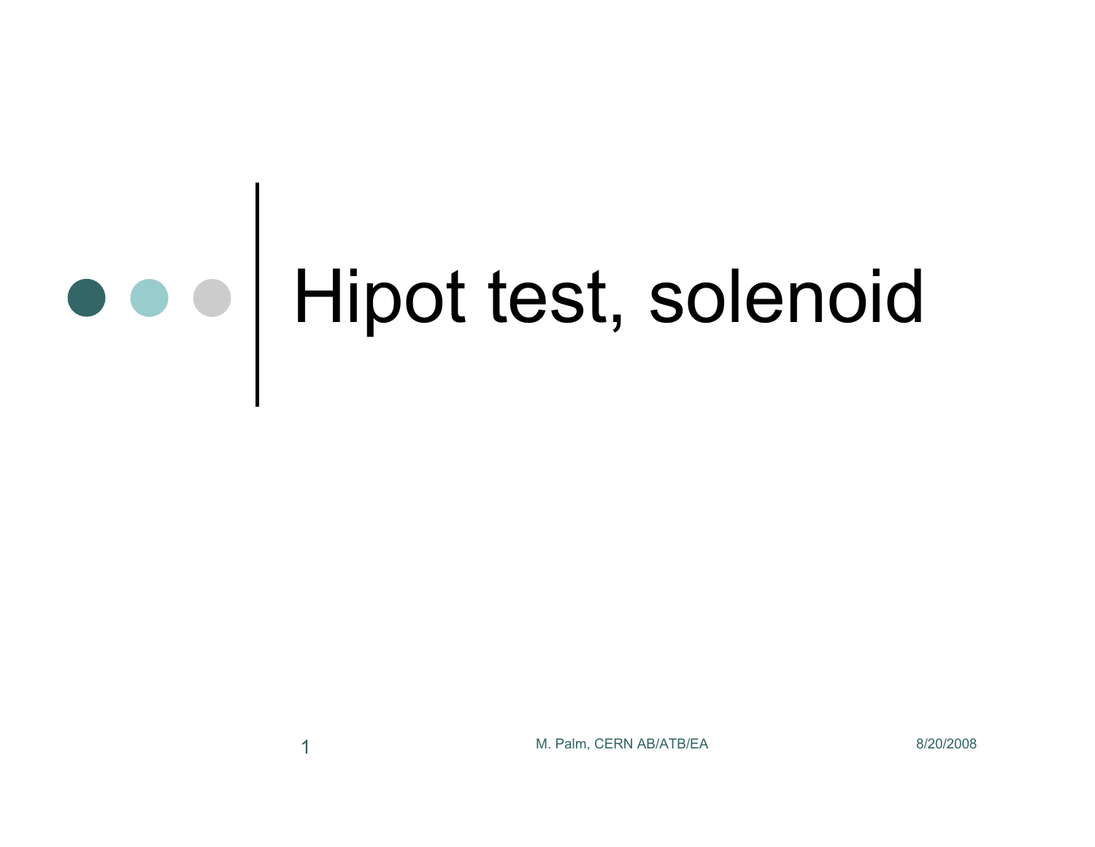## Hipot test, solenoid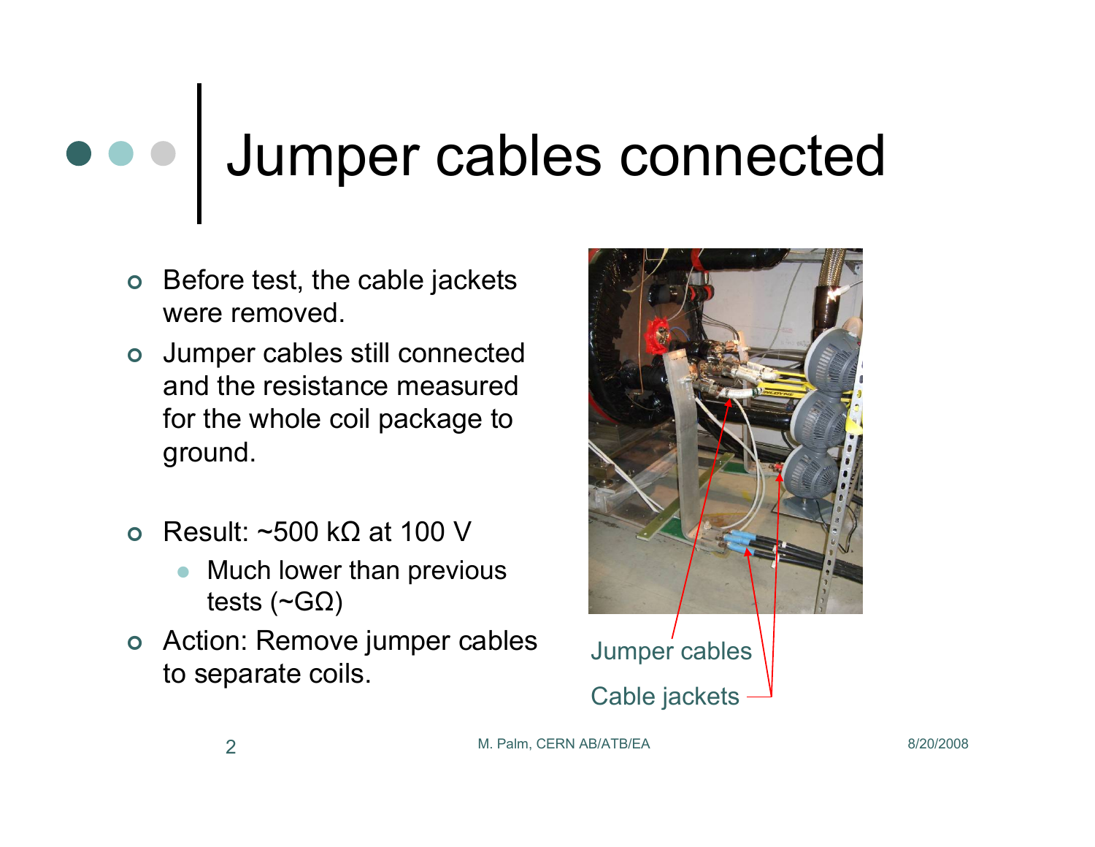## Jumper cables connected  $\bullet\bullet\bullet$

- $\bullet$  Before test, the cable jackets were removed.
- o Jumper cables still connected and the resistance measured for the whole coil package to ground.
- $\Omega$  Result: ~500 kΩ at 100 V
	- $\bullet$  Much lower than previous tests ( $\neg$ GΩ)
- o Action: Remove jumper cables Action: Remove jumper cables<br>to separate coils.<br>Cable jackets -



M. Palm, CERN AB/ATB/EA 8/20/2008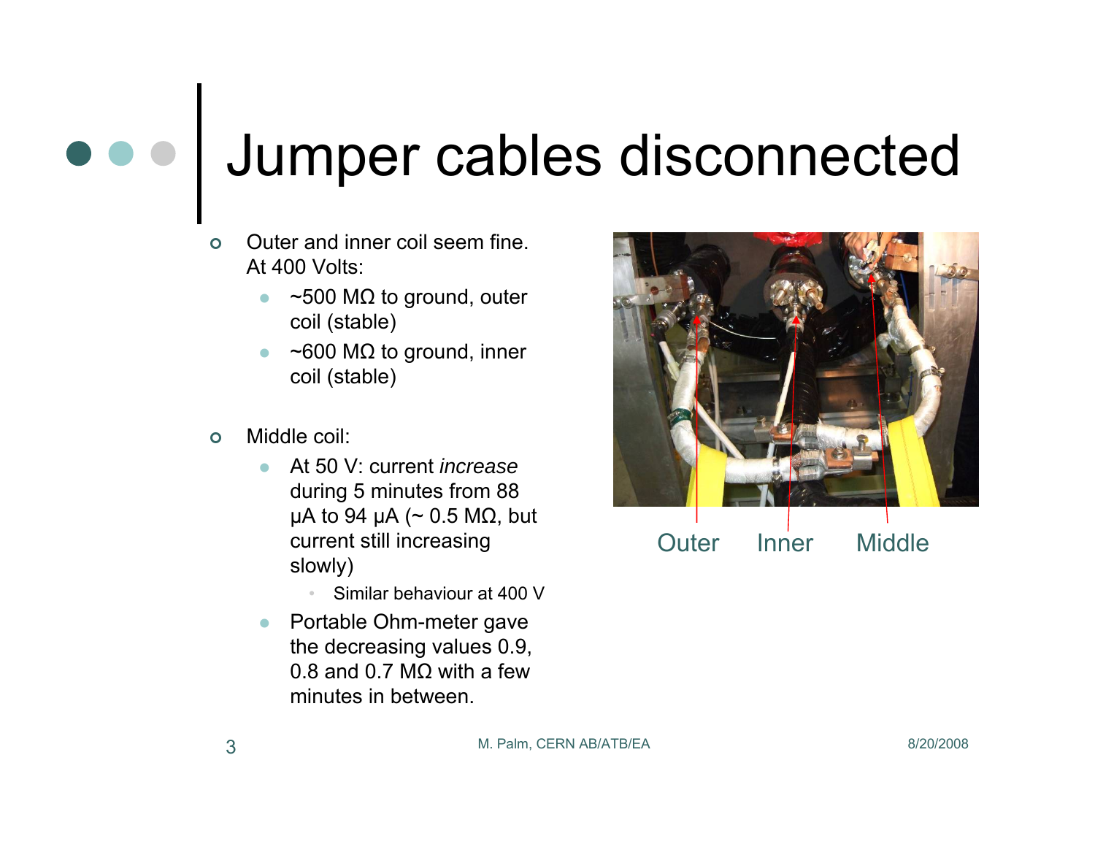## Jumper cables disconnected

- $\Omega$  Outer and inner coil seem fine. At 400 Volts:
	- $\bullet$  $\bullet$  ~500 M $\Omega$  to ground, outer coil (stable)
	- z $\bullet$  ~600 M $\Omega$  to ground, inner coil (stable)
- $\circ$  Middle coil:
	- z At 50 V: current *increase* during 5 minutes from 88 μA to 94 μA ( $\sim$  0.5 MΩ, but current still increasing slowly)
		- Similar behaviour at 400 V
	- $\bullet$  Portable Ohm-meter gave the decreasing values 0.9, 0.8 and 0.7 MΩ with a few minutes in between.



Outer Inner Middle